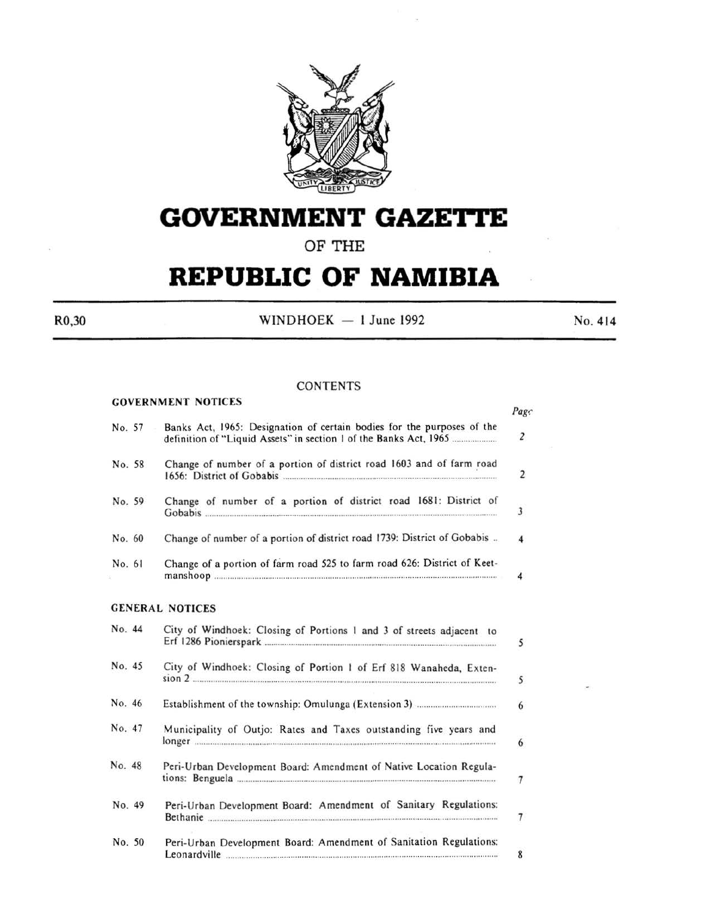

# **GOVERNMENT GAZETTE**

# **OF THE**

# **REPUBLIC OF NAMIBIA**

GOVERNMENT NOTICES

 $R0,30$  WINDHOEK - 1 June 1992 No. 414

# **CONTENTS**

|        | GOVERNMENT NOTICES                                                                                                                                                     | Page             |
|--------|------------------------------------------------------------------------------------------------------------------------------------------------------------------------|------------------|
| No. 57 | Banks Act, 1965: Designation of certain bodies for the purposes of the                                                                                                 | $\overline{2}$   |
| No. 58 | Change of number of a portion of district road 1603 and of farm road<br>1656: District of Gobabis <u>communications</u> and the USS of Table 1656: District of Gobabis | 2                |
| No. 59 | Change of number of a portion of district road 1681: District of<br>Gobabis                                                                                            | 3                |
| No. 60 | Change of number of a portion of district road 1739: District of Gobabis                                                                                               | $\boldsymbol{4}$ |
| No. 61 | Change of a portion of farm road 525 to farm road 626: District of Keet-                                                                                               | 4                |
|        | <b>GENERAL NOTICES</b>                                                                                                                                                 |                  |
| No. 44 | City of Windhoek: Closing of Portions 1 and 3 of streets adjacent to                                                                                                   |                  |

| No. 45 | City of Windhoek: Closing of Portion 1 of Erf 818 Wanaheda, Exten-                 |  |  |  |
|--------|------------------------------------------------------------------------------------|--|--|--|
| No. 46 |                                                                                    |  |  |  |
| No. 47 | Municipality of Outjo: Rates and Taxes outstanding five years and                  |  |  |  |
| No. 48 | Peri-Urban Development Board: Amendment of Native Location Regula-                 |  |  |  |
| No. 49 | Peri-Urban Development Board: Amendment of Sanitary Regulations:<br>Bethanie       |  |  |  |
| No. 50 | Peri-Urban Development Board: Amendment of Sanitation Regulations:<br>Leonardville |  |  |  |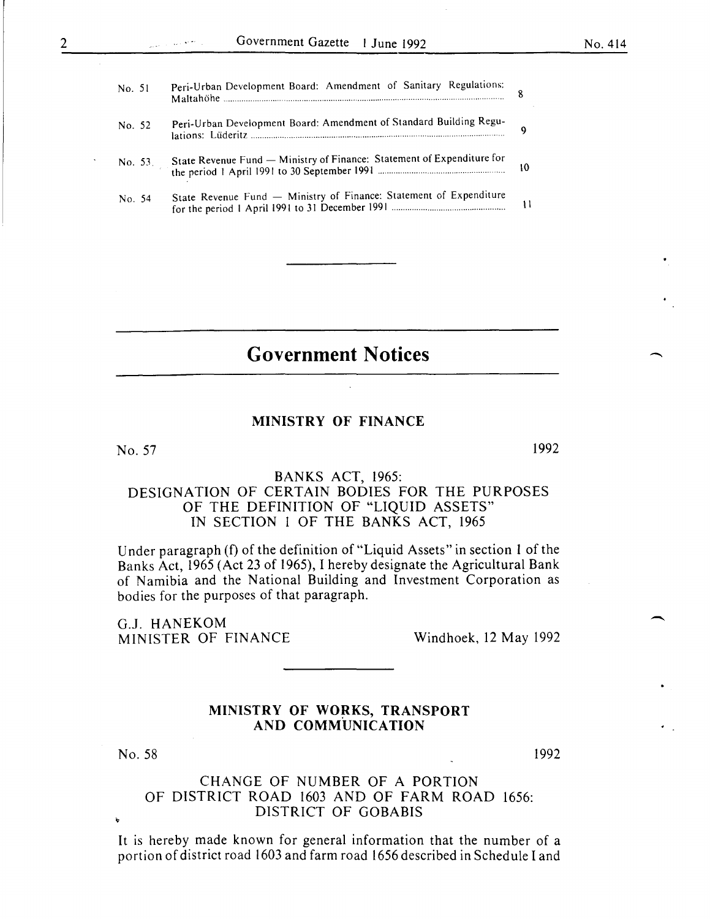-

 $\overline{\phantom{0}}$ 

| No. 51     | Peri-Urban Development Board: Amendment of Sanitary Regulations:       | 8               |
|------------|------------------------------------------------------------------------|-----------------|
| No. 52     | Peri-Urban Development Board: Amendment of Standard Building Regu-     | ۹               |
| No. $53$ . | State Revenue Fund - Ministry of Finance: Statement of Expenditure for | 10 <sup>°</sup> |
| No. 54     | State Revenue Fund - Ministry of Finance: Statement of Expenditure     | $\mathbf{1}$    |
|            |                                                                        |                 |

# **Government Notices**

# MINISTRY OF FINANCE

No. 57

2

1992

# BANKS ACT, 1965: DESIGNATION OF CERTAIN BODIES FOR THE PURPOSES OF THE DEFINITION OF "LIQUID ASSETS" IN SECTION 1 OF THE BANKS ACT, 1965

Under paragraph (f) of the definition of "Liquid Assets" in section 1 of the Banks Act, 1965 (Act 23 of 1965), I hereby designate the Agricultural Bank of Namibia and the National Building and Investment Corporation as bodies for the purposes of that paragraph.

G.J. HANEKOM MINISTER OF FINANCE Windhoek, 12 May 1992

## MINISTRY OF WORKS, TRANSPORT AND COMMUNICATION

No. 58

1992

# CHANGE OF NUMBER OF A PORTION OF DISTRICT ROAD 1603 AND OF FARM ROAD 1656: DISTRICT OF GOBABIS

It is hereby made known for general information that the number of a portion of district road 1603 and farm road 1656 described in Schedule I and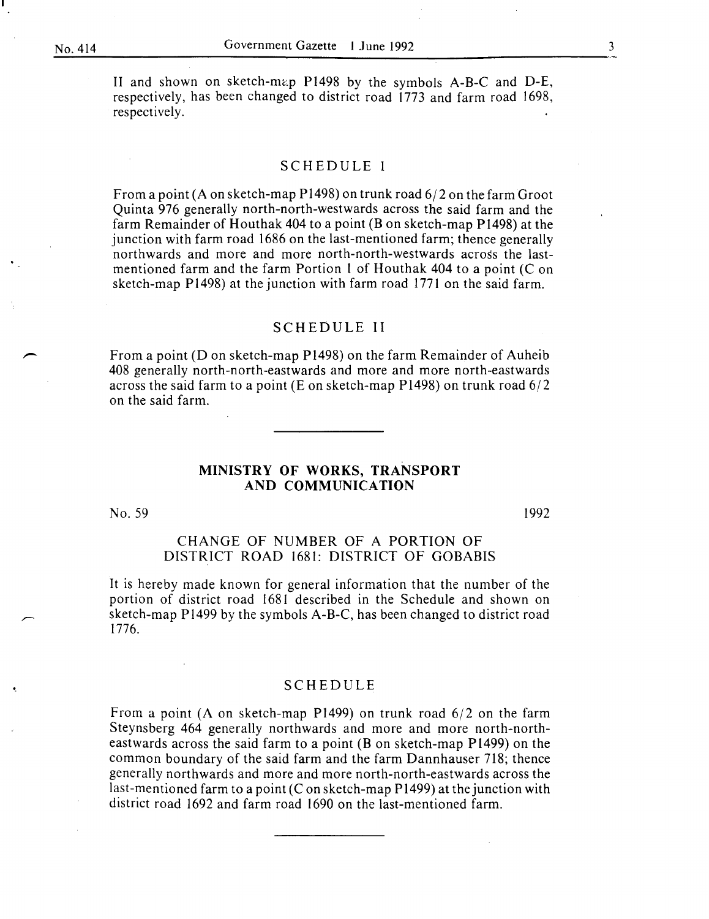II and shown on sketch-map P1498 by the symbols A-B-C and D-E, respectively, has been changed to district road 1773 and farm road 1698, respectively.

## SCHEDULE I

From a point (A on sketch-map P1498) on trunk road 6/2 on the farm Groot Quinta 976 generally north-north-westwards across the said farm and the farm Remainder of Houthak 404 to a point (B on sketch-map P1498) at the junction with farm road 1686 on the last-mentioned farm; thence generally northwards and more and more north-north-westwards across the lastmentioned farm and the farm Portion 1 of Houthak 404 to a point (C on sketch-map P1498) at the junction with farm road 1771 on the said farm.

#### SCHEDULE II

From a point (Don sketch-map Pl498) on the farm Remainder of Auheib 408 generally north-north-eastwards and more and more north-eastwards across the said farm to a point (E on sketch-map P1498) on trunk road  $6/2$ on the said farm.

#### **MINISTRY OF WORKS, TRANSPORT AND COMMUNICATION**

No. 59

1992

# CHANGE OF NUMBER OF A PORTION OF DISTRICT ROAD 1681: DISTRICT OF GOBABIS

It is hereby made known for general information that the number of the portion of district road 1681 described in the Schedule and shown on sketch-map P1499 by the symbols A-B-C, has been changed to district road 1776.

#### SCHEDULE

From a point (A on sketch-map P1499) on trunk road 6/2 on the farm Steynsberg 464 generally northwards and more and more north-northeastwards across the said farm to a point (B on sketch-map P1499) on the common boundary of the said farm and the farm Dannhauser 718; thence generally northwards and more and more north-north-eastwards across the last-mentioned farm to a point (C on sketch-map  $P1499$ ) at the junction with district road 1692 and farm road 1690 on the last-mentioned farm.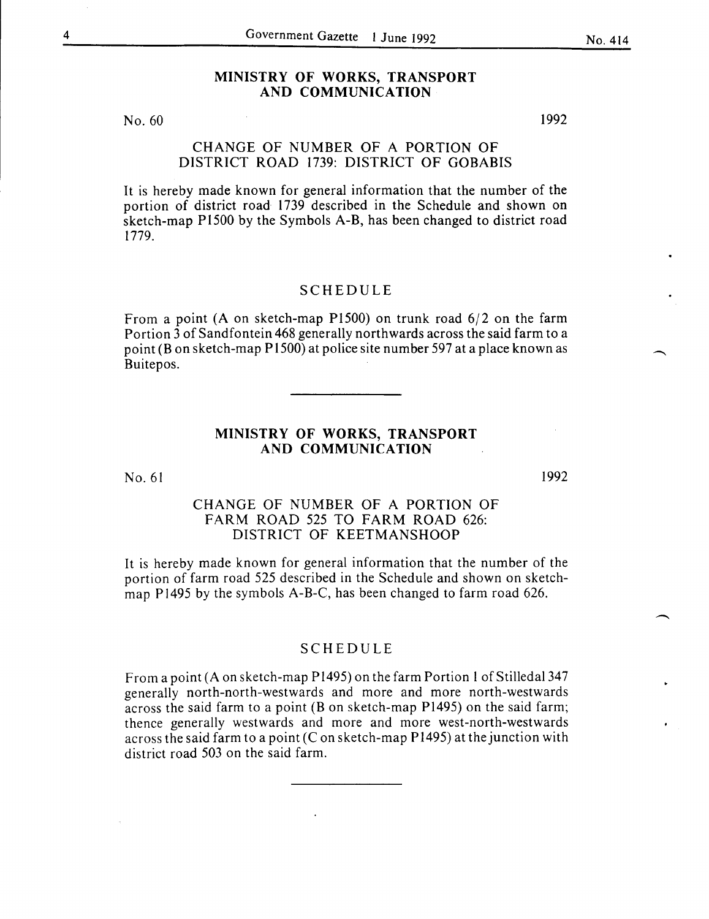# **MINISTRY OF WORKS, TRANSPORT AND COMMUNICATION**

No. 60

## CHANGE OF NUMBER OF A PORTION OF DISTRICT ROAD 1739: DISTRICT OF GOBABIS

It is hereby made known for general information that the number of the portion of district road 1739 described in the Schedule and shown on sketch-map Pl500 by the Symbols A-B, has been changed to district road 1779.

## SCHEDULE

From a point (A on sketch-map  $P1500$ ) on trunk road  $6/2$  on the farm Portion 3 of Sandfontein 468 generally northwards across the said farm to a point (Bon sketch-map Pl500) at police site number 597 at a place known as Buitepos.

# **MINISTRY OF WORKS, TRANSPORT AND COMMUNICATION**

No. 61

# CHANGE OF NUMBER OF A PORTION OF FARM ROAD 525 TO FARM ROAD 626: DISTRICT OF KEETMANSHOOP

It is hereby made known for general information that the number of the portion of farm road 525 described in the Schedule and shown on sketchmap Pl495 by the symbols A-B-C, has been changed to farm road 626.

# SCHEDULE

From a point (A on sketch-map  $P1495$ ) on the farm Portion 1 of Stilledal 347 generally north-north-westwards and more and more north-westwards across the said farm to a point (B on sketch-map P1495) on the said farm; thence generally westwards and more and more west-north-westwards across the said farm to a point  $(C \text{ on sketch-map } P1495)$  at the junction with district road 503 on the said farm.

1992

1992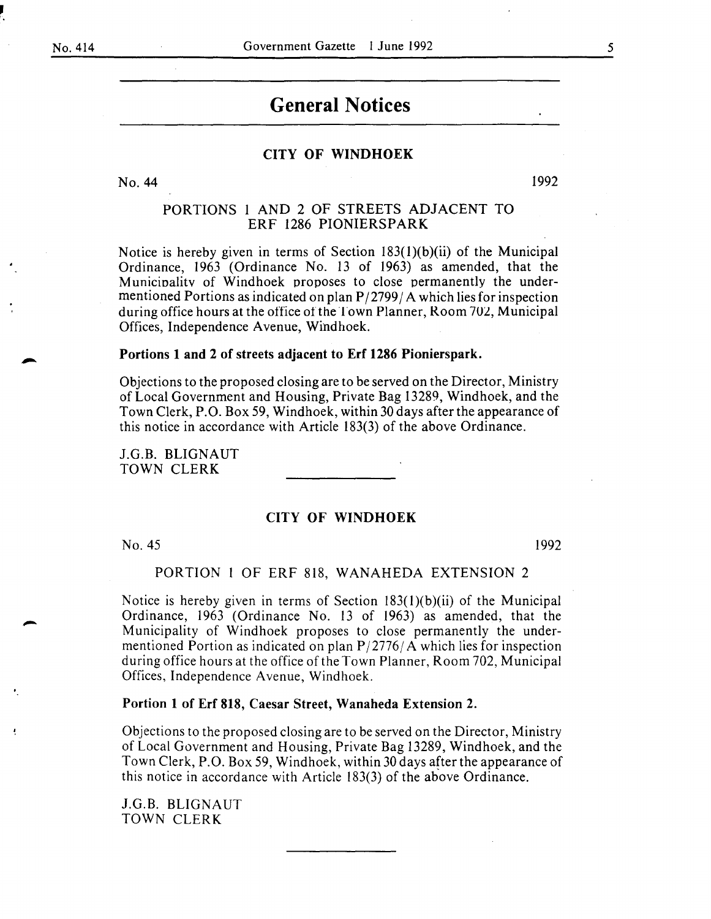•

# **General Notices**

## CITY OF WINDHOEK

No. 44

1992

# PORTIONS 1 AND 2 OF STREETS ADJACENT TO ERF 1286 PIONIERSPARK

Notice is hereby given in terms of Section 183(1)(b)(ii) of the Municipal Ordinance, 1963 (Ordinance No. 13 of 1963) as amended, that the Municioalitv of Windhoek proposes to close permanently the undermentioned Portions as indicated on plan  $P/2799/A$  which lies for inspection during office hours at the office of the Town Planner, Room 702, Municipal Offices, Independence Avenue, Windhoek.

#### Portions 1 and 2 of streets adjacent to Erf 1286 Pionierspark.

Objections to the proposed closing are to be served on the Director, Ministry of Local Government and Housing, Private Bag 13289, Windhoek, and the Town Clerk, P.O. Box 59, Windhoek, within 30 days after the appearance of this notice in accordance with Article 183(3) of the above Ordinance.

J.G.B. BLIGNAUT TOWN CLERK

#### CITY OF WINDHOEK

No. 45

1992

#### PORTION I OF ERF 818, WANAHEDA EXTENSION 2

Notice is hereby given in terms of Section I83(l)(b)(ii) of the Municipal Ordinance, 1963 (Ordinance No. 13 of 1963) as amended, that the Municipality of Windhoek proposes to close permanently the undermentioned Portion as indicated on plan  $P/2776/A$  which lies for inspection during office hours at the office of the Town Planner, Room 702, Municipal Offices, Independence A venue, Windhoek.

#### Portion 1 of Erf 818, Caesar Street, Wanaheda Extension 2.

Objections to the proposed closing are to be served on the Director, Ministry of Local Government and Housing, Private Bag 13289, Windhoek, and the Town Clerk, P.O. Box 59, Windhoek, within 30 days after the appearance of this notice in accordance with Article  $183(3)$  of the above Ordinance.

J.G.B. BLIGNAUT TOWN CLERK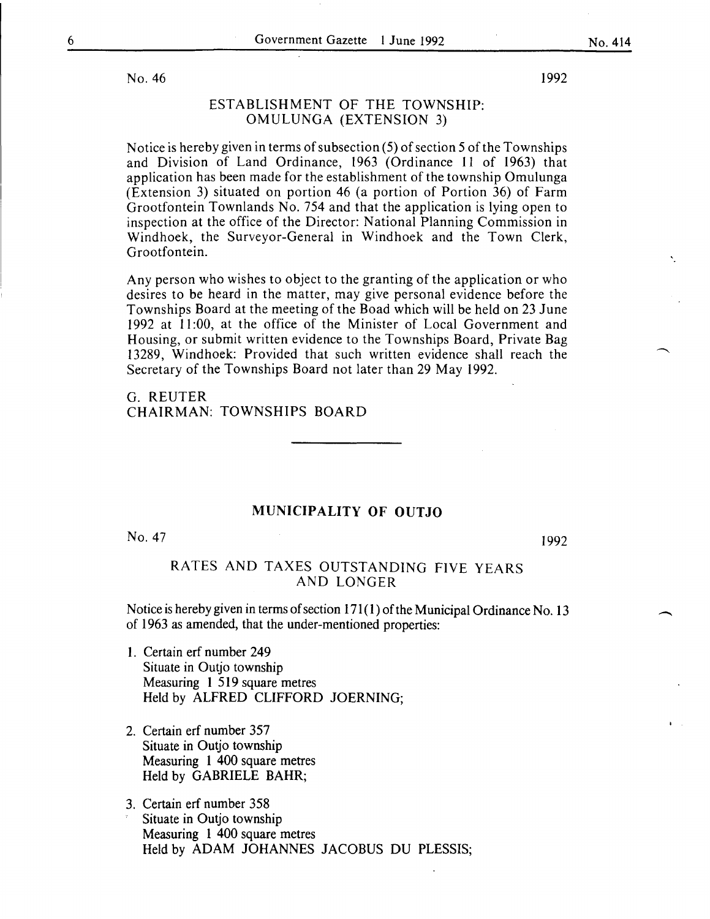No.  $46$  1992

# ESTABLISHMENT OF THE TOWNSHIP: OMULUNGA (EXTENSION 3)

Notice is hereby given in terms of subsection (5) of section 5 of the Townships and Division of Land Ordinance, 1963 (Ordinance 11 of 1963) that application has been made for the establishment of the township Omulunga (Extension 3) situated on portion 46 (a portion of Portion 36) of Farm Grootfontein Townlands No. 754 and that the application is lying open to inspection at the office of the Director: National Planning Commission in Windhoek, the Surveyor-General in Windhoek and the Town Clerk, Grootfontein.

Any person who wishes to object to the granting of the application or who desires to be heard in the matter, may give personal evidence before the Townships Board at the meeting of the Boad which will be held on 23 June 1992 at II :00, at the office of the Minister of Local Government and Housing, or submit written evidence to the Townships Board, Private Bag 13289, Windhoek: Provided that such written evidence shall reach the Secretary of the Townships Board not later than 29 May 1992.

G. REUTER CHAIRMAN: TOWNSHIPS BOARD

#### MUNICIPALITY OF OUTJO

No. 47

1992

 $\overline{\phantom{a}}$ 

## RATES AND TAXES OUTSTANDING FIVE YEARS AND LONGER

Notice is hereby given in terms of section  $171(1)$  of the Municipal Ordinance No. 13 of 1963 as amended, that the under-mentioned properties:

- 1. Certain erf number 249 Situate in Outjo township Measuring 1 519 square metres Held by ALFRED CLIFFORD JOERNING;
- 2. Certain erf number 357 Situate in Outjo township Measuring 1 400 square metres Held by GABRIELE BAHR;
- 3. Certain erf number 358 Situate in Outjo township Measuring 1 400 square metres Held by ADAM JOHANNES JACOBUS DU PLESSIS;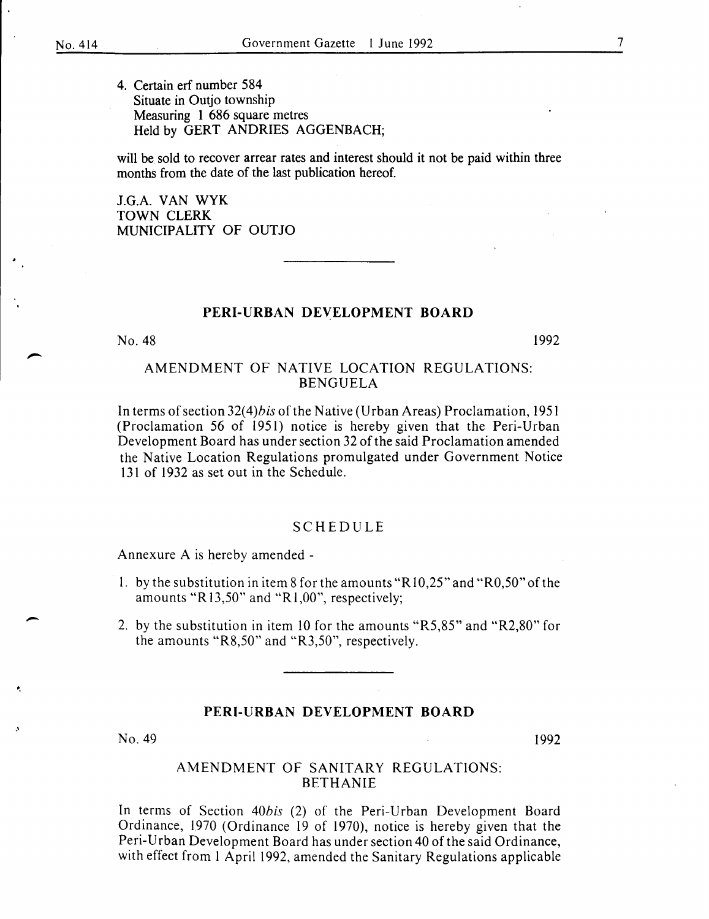4. Certain erf number 584 Situate in Outjo township Measuring 1 686 square metres Held by GERT ANDRIES AGGENBACH;

will be sold to recover arrear rates and interest should it not be paid within three months from the date of the last publication hereof.

J.G.A. VAN WYK TOWN CLERK MUNICIPALITY OF OUTJO

#### PERI-URBAN DEVELOPMENT BOARD

No. 48

1992

# AMENDMENT OF NATIVE LOCATION REGULATIONS: BENGUELA

In terms of section 32(4)*bis* of the Native (Urban Areas) Proclamation, 1951 (Proclamation 56 of 1951) notice is hereby given that the Peri-Urban Development Board has under section 32 of the said Proclamation amended the Native Location Regulations promulgated under Government Notice 131 of 1932 as set out in the Schedule.

#### SCHEDULE

Annexure A is hereby amended -

- l. by the substitution in item 8 for the amounts "Rl0,25" and "R0,50" of the amounts "R 13,50" and "Rl,OO", respectively;
- 2. by the substitution in item 10 for the amounts "R5,85" and "R2,80" for the amounts "R8,50" and "R3,50", respectively.

## PERI-URBAN DEVELOPMENT BOARD

 $N$ o. 49 1992

-

•.

# AMENDMENT OF SANITARY REGULATIONS: BETHANIE

In terms of Section *40bis* (2) of the Peri-Urban Development Board Ordinance, 1970 (Ordinance 19 of 1970), notice is hereby given that the Peri-Urban Development Board has under section 40 of the said Ordinance, with effect from l April 1992, amended the Sanitary Regulations applicable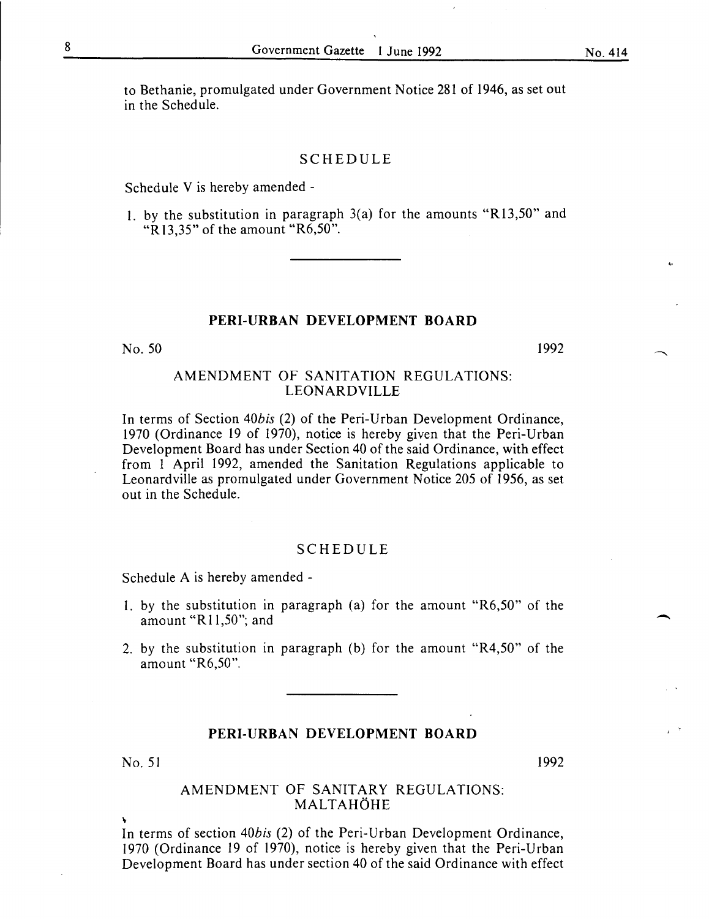<·

-

to Bethanie, promulgated under Government Notice 281 of 1946, as set out in the Schedule.

#### SCHEDULE

Schedule V is hereby amended -

I. by the substitution in paragraph 3(a) for the amounts "R13,50" and " $R$ 13.35" of the amount " $R6,50$ ".

#### **PERI-URBAN DEVELOPMENT BOARD**

No. 50 1992

## AMENDMENT OF SANITATION REGULATIONS: LEONARDVILLE

In terms of Section *40bis* (2) of the Peri-Urban Development Ordinance, 1970 (Ordinance 19 of 1970), notice is hereby given that the Peri-Urban Development Board has under Section 40 of the said Ordinance, with effect from I April 1992, amended the Sanitation Regulations applicable to Leonardville as promulgated under Government Notice 205 of 1956, as set out in the Schedule.

#### SCHEDULE

Schedule A is hereby amended-

- I. by the substitution in paragraph (a) for the amount "R6,50" of the amount "R11,50"; and
- 2. by the substitution in paragraph (b) for the amount "R4,50" of the amount "R6,50".

#### **PERI-URBAN DEVELOPMENT BOARD**

No. 51 1992

~

#### AMENDMENT OF SANITARY REGULATIONS: MALTAHOHE

In terms of section *40bis* (2) of the Peri-Urban Development Ordinance, 1970 (Ordinance 19 of 1970), notice is hereby given that the Peri-Urban Development Board has under section 40 of the said Ordinance with effect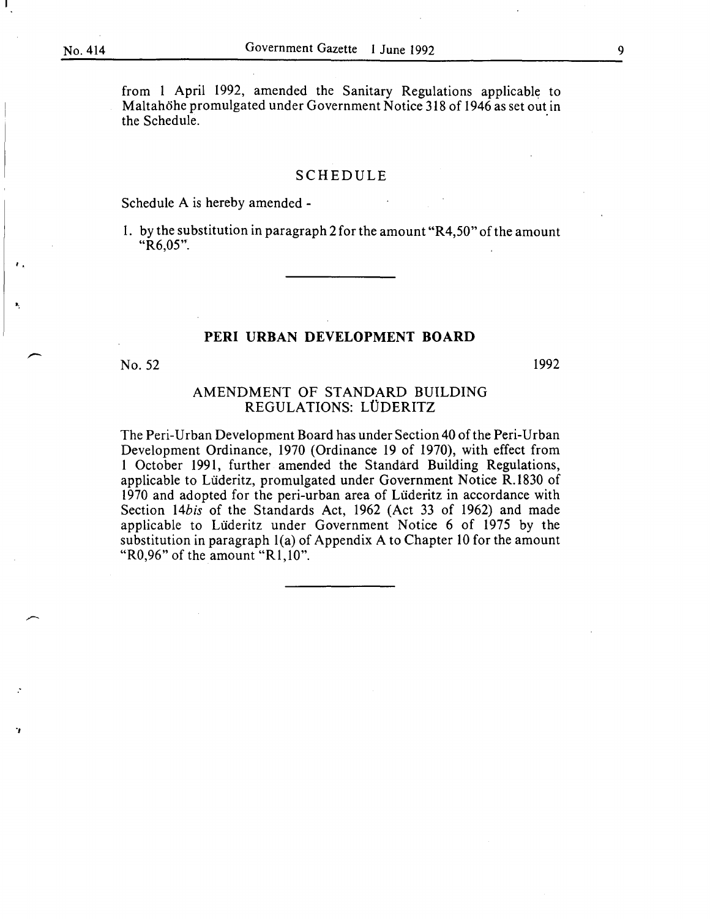$\mathbf{F}_{\mathbf{r}}$ 

;

'J

from 1 April 1992, amended the Sanitary Regulations applicable to Maltahöhe promulgated under Government Notice 318 of 1946 as set out in the Schedule.

#### SCHEDULE

Schedule A is hereby amended-

1. by the substitution in paragraph 2 for the amount "R4,50" of the amount "R6,05".

#### **PERI URBAN DEVELOPMENT BOARD**

No. 52

1992

# AMENDMENT OF STANDARD BUILDING REGULATIONS: LÜDERITZ

The Peri-Urban Development Board has under Section 40 of the Peri-Urban Development Ordinance, 1970 (Ordinance 19 of 1970), with effect from 1 October 1991, further amended the Standard Building Regulations, applicable to Liideritz, promulgated under Government Notice R.l830 of 1970 and adopted for the peri-urban area of Liideritz in accordance with Section *14bis* of the Standards Act, 1962 (Act 33 of 1962) and made applicable to Liideritz under Government Notice 6 of 1975 by the substitution in paragraph l(a) of Appendix A to Chapter 10 for the amount "R0,96" of the amount "R1,10".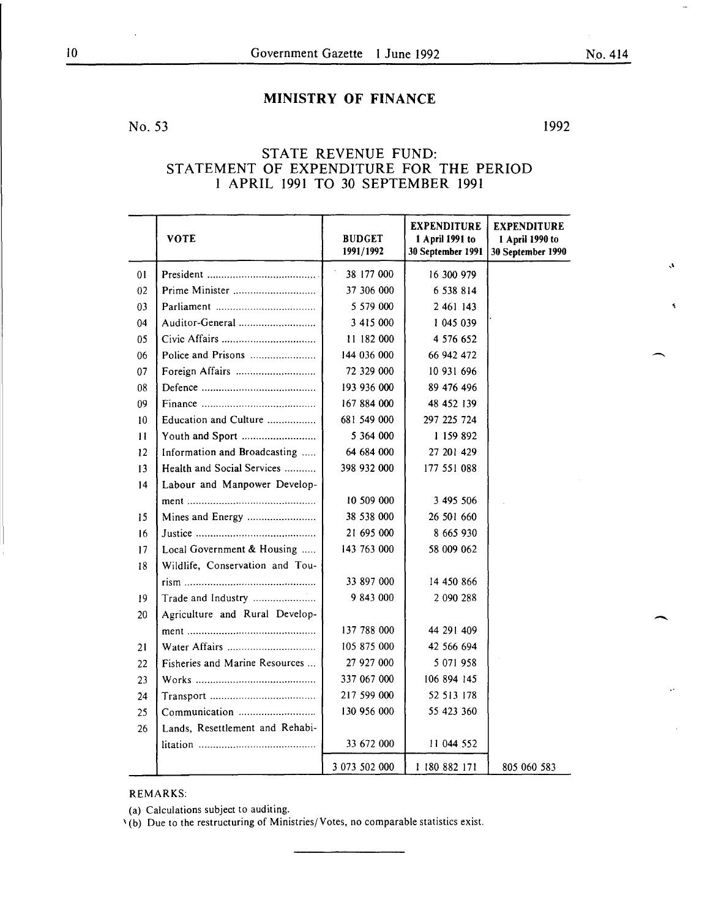# MINISTRY OF FINANCE

No. 53

1992

# STATE REVENUE FUND: STATEMENT OF EXPENDITURE FOR THE PERIOD I APRIL 1991 TO 30 SEPTEMBER 1991

|               | <b>VOTE</b>                     | <b>BUDGET</b><br>1991/1992 | <b>EXPENDITURE</b><br>1 April 1991 to<br>30 September 1991 | <b>EXPENDITURE</b><br>1 April 1990 to<br>30 September 1990 |
|---------------|---------------------------------|----------------------------|------------------------------------------------------------|------------------------------------------------------------|
| 01            |                                 | 38 177 000                 | 16 300 979                                                 |                                                            |
| 02            | Prime Minister                  | 37 306 000                 | 6 538 814                                                  |                                                            |
| 03            |                                 | 5 579 000                  | 2 461 143                                                  |                                                            |
| 04            | Auditor-General                 | 3 415 000                  | 1 045 039                                                  |                                                            |
| 05            |                                 | 11 182 000                 | 4 576 652                                                  |                                                            |
| 06            | Police and Prisons              | 144 036 000                | 66 942 472                                                 |                                                            |
| 07            | Foreign Affairs                 | 72 329 000                 | 10 931 696                                                 |                                                            |
| 08            |                                 | 193 936 000                | 89 476 496                                                 |                                                            |
| 09            |                                 | 167 884 000                | 48 452 139                                                 |                                                            |
| 10            | Education and Culture           | 681 549 000                | 297 225 724                                                |                                                            |
| $\mathbf{11}$ | Youth and Sport                 | 5 364 000                  | 1 159 892                                                  |                                                            |
| 12            | Information and Broadcasting    | 64 684 000                 | 27 201 429                                                 |                                                            |
| 13            | Health and Social Services      | 398 932 000                | 177 551 088                                                |                                                            |
| 14            | Labour and Manpower Develop-    |                            |                                                            |                                                            |
|               |                                 | 10 509 000                 | 3 495 506                                                  |                                                            |
| 15            | Mines and Energy                | 38 538 000                 | 26 501 660                                                 |                                                            |
| 16            |                                 | 21 695 000                 | 8 665 930                                                  |                                                            |
| 17            | Local Government & Housing      | 143 763 000                | 58 009 062                                                 |                                                            |
| 18            | Wildlife, Conservation and Tou- |                            |                                                            |                                                            |
|               |                                 | 33 897 000                 | 14 450 866                                                 |                                                            |
| 19            | Trade and Industry              | 9 843 000                  | 2 090 288                                                  |                                                            |
| 20            | Agriculture and Rural Develop-  |                            |                                                            |                                                            |
|               |                                 | 137 788 000                | 44 291 409                                                 |                                                            |
| 21            |                                 | 105 875 000                | 42 566 694                                                 |                                                            |
| 22            | Fisheries and Marine Resources  | 27 927 000                 | 5 071 958                                                  |                                                            |
| 23            |                                 | 337 067 000                | 106 894 145                                                |                                                            |
| 24            |                                 | 217 599 000                | 52 513 178                                                 |                                                            |
| 25            | Communication                   | 130 956 000                | 55 423 360                                                 |                                                            |
| 26            | Lands, Resettlement and Rehabi- |                            |                                                            |                                                            |
|               |                                 | 33 672 000                 | 11 044 552                                                 |                                                            |
|               |                                 | 3 073 502 000              | 1 180 882 171                                              | 805 060 583                                                |

#### REMARKS:

(a) Calculations subject to auditing.

\(b) Due to the restructuring of Ministries/Votes, no comparable statistics exist.

 $\overline{\phantom{a}}$ 

Å,